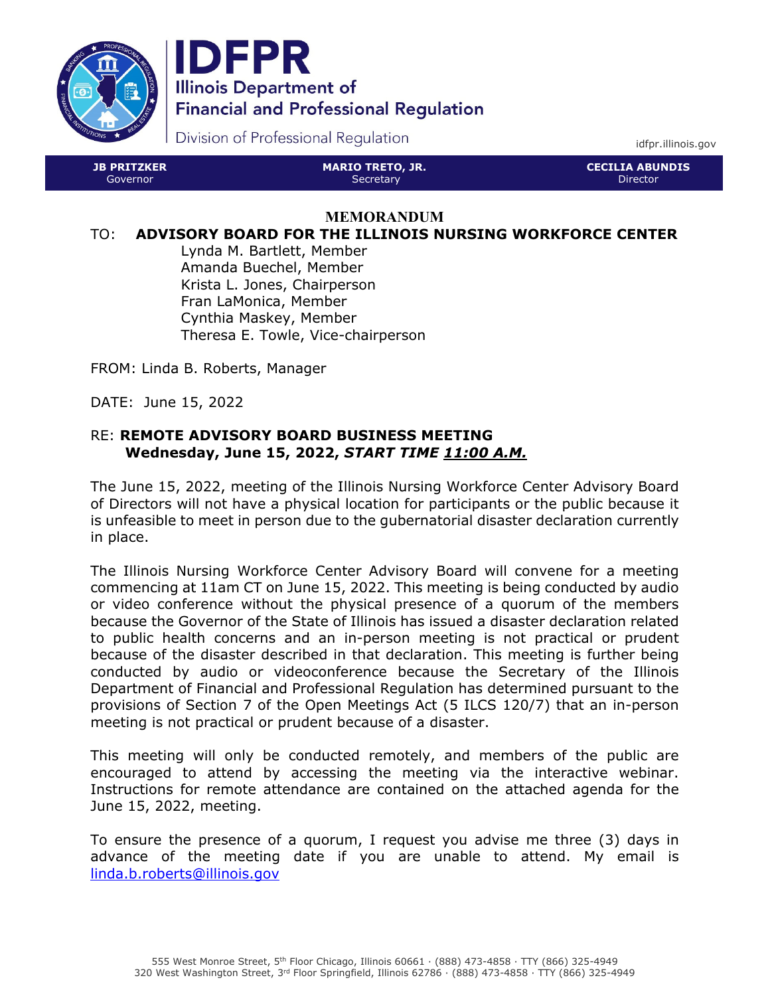



Division of Professional Regulation

idfpr.illinois.gov

| <b>JB PRITZKER</b> | <b>MARIO TRETO, JR.</b> | <b>CECILIA ABUNDIS '</b> |
|--------------------|-------------------------|--------------------------|
| 'Governor          | Secretary               | Director                 |

#### **MEMORANDUM**

#### TO: **ADVISORY BOARD FOR THE ILLINOIS NURSING WORKFORCE CENTER**

Lynda M. Bartlett, Member Amanda Buechel, Member Krista L. Jones, Chairperson Fran LaMonica, Member Cynthia Maskey, Member Theresa E. Towle, Vice-chairperson

FROM: Linda B. Roberts, Manager

DATE: June 15, 2022

### RE: **REMOTE ADVISORY BOARD BUSINESS MEETING Wednesday, June 15, 2022,** *START TIME 11:00 A.M.*

The June 15, 2022, meeting of the Illinois Nursing Workforce Center Advisory Board of Directors will not have a physical location for participants or the public because it is unfeasible to meet in person due to the gubernatorial disaster declaration currently in place.

The Illinois Nursing Workforce Center Advisory Board will convene for a meeting commencing at 11am CT on June 15, 2022. This meeting is being conducted by audio or video conference without the physical presence of a quorum of the members because the Governor of the State of Illinois has issued a disaster declaration related to public health concerns and an in-person meeting is not practical or prudent because of the disaster described in that declaration. This meeting is further being conducted by audio or videoconference because the Secretary of the Illinois Department of Financial and Professional Regulation has determined pursuant to the provisions of Section 7 of the Open Meetings Act (5 ILCS 120/7) that an in-person meeting is not practical or prudent because of a disaster.

This meeting will only be conducted remotely, and members of the public are encouraged to attend by accessing the meeting via the interactive webinar. Instructions for remote attendance are contained on the attached agenda for the June 15, 2022, meeting.

To ensure the presence of a quorum, I request you advise me three (3) days in advance of the meeting date if you are unable to attend. My email is linda.b.roberts@illinois.gov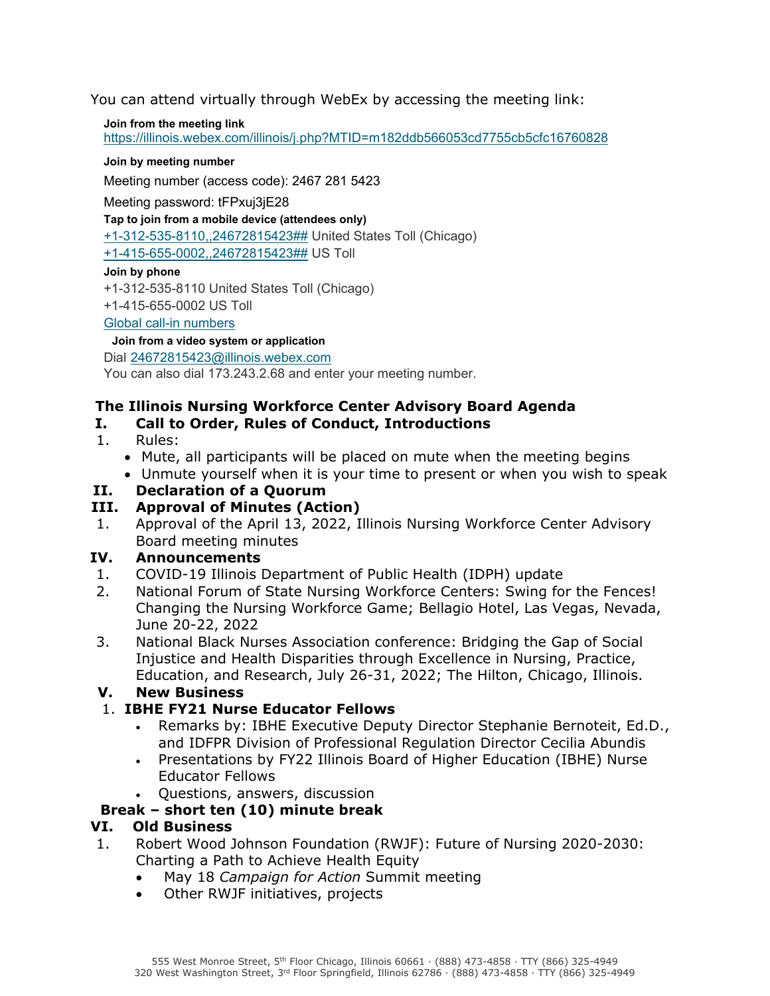You can attend virtually through WebEx by accessing the meeting link:

**Join from the meeting link**  https://illinois.webex.com/illinois/j.php?MTID=m182ddb566053cd7755cb5cfc16760828

#### **Join by meeting number**

Meeting number (access code): 2467 281 5423

Meeting password: tFPxuj3jE28

**Tap to join from a mobile device (attendees only)**

+1-312-535-8110,,24672815423## United States Toll (Chicago)

+1-415-655-0002,,24672815423## US Toll

#### **Join by phone**

+1-312-535-8110 United States Toll (Chicago)

+1-415-655-0002 US Toll

Global call-in numbers

#### **Join from a video system or application**

Dial 24672815423@illinois.webex.com

You can also dial 173.243.2.68 and enter your meeting number.

## **The Illinois Nursing Workforce Center Advisory Board Agenda**

## **I. Call to Order, Rules of Conduct, Introductions**

- 1. Rules:
	- Mute, all participants will be placed on mute when the meeting begins
	- Unmute yourself when it is your time to present or when you wish to speak
- **II. Declaration of a Quorum**

### **III. Approval of Minutes (Action)**

1. Approval of the April 13, 2022, Illinois Nursing Workforce Center Advisory Board meeting minutes

### **IV. Announcements**

- 1. COVID-19 Illinois Department of Public Health (IDPH) update
- 2. National Forum of State Nursing Workforce Centers: Swing for the Fences! Changing the Nursing Workforce Game; Bellagio Hotel, Las Vegas, Nevada, June 20-22, 2022
- 3. National Black Nurses Association conference: Bridging the Gap of Social Injustice and Health Disparities through Excellence in Nursing, Practice, Education, and Research, July 26-31, 2022; The Hilton, Chicago, Illinois.

### **V. New Business**

# 1. **IBHE FY21 Nurse Educator Fellows**

- Remarks by: IBHE Executive Deputy Director Stephanie Bernoteit, Ed.D., and IDFPR Division of Professional Regulation Director Cecilia Abundis
- Presentations by FY22 Illinois Board of Higher Education (IBHE) Nurse Educator Fellows
- Questions, answers, discussion

# **Break – short ten (10) minute break**

### **VI. Old Business**

- 1. Robert Wood Johnson Foundation (RWJF): Future of Nursing 2020-2030: Charting a Path to Achieve Health Equity
	- May 18 *Campaign for Action* Summit meeting
	- Other RWJF initiatives, projects